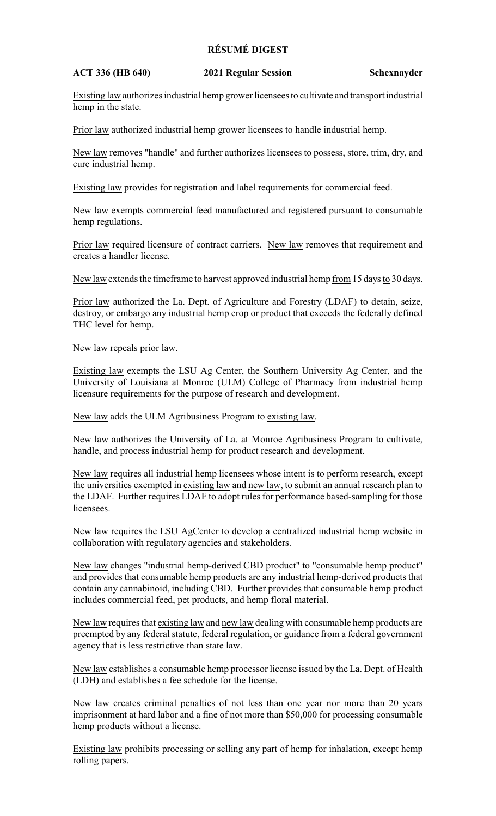## **RÉSUMÉ DIGEST**

## **ACT 336 (HB 640) 2021 Regular Session Schexnayder**

Existing law authorizes industrial hemp grower licensees to cultivate and transport industrial hemp in the state.

Prior law authorized industrial hemp grower licensees to handle industrial hemp.

New law removes "handle" and further authorizes licensees to possess, store, trim, dry, and cure industrial hemp.

Existing law provides for registration and label requirements for commercial feed.

New law exempts commercial feed manufactured and registered pursuant to consumable hemp regulations.

Prior law required licensure of contract carriers. New law removes that requirement and creates a handler license.

New law extends the timeframe to harvest approved industrial hemp from 15 days to 30 days.

Prior law authorized the La. Dept. of Agriculture and Forestry (LDAF) to detain, seize, destroy, or embargo any industrial hemp crop or product that exceeds the federally defined THC level for hemp.

New law repeals prior law.

Existing law exempts the LSU Ag Center, the Southern University Ag Center, and the University of Louisiana at Monroe (ULM) College of Pharmacy from industrial hemp licensure requirements for the purpose of research and development.

New law adds the ULM Agribusiness Program to existing law.

New law authorizes the University of La. at Monroe Agribusiness Program to cultivate, handle, and process industrial hemp for product research and development.

New law requires all industrial hemp licensees whose intent is to perform research, except the universities exempted in existing law and new law, to submit an annual research plan to the LDAF. Further requires LDAF to adopt rules for performance based-sampling for those licensees.

New law requires the LSU AgCenter to develop a centralized industrial hemp website in collaboration with regulatory agencies and stakeholders.

New law changes "industrial hemp-derived CBD product" to "consumable hemp product" and provides that consumable hemp products are any industrial hemp-derived products that contain any cannabinoid, including CBD. Further provides that consumable hemp product includes commercial feed, pet products, and hemp floral material.

New law requires that existing law and new law dealing with consumable hemp products are preempted by any federal statute, federal regulation, or guidance from a federal government agency that is less restrictive than state law.

New law establishes a consumable hemp processor license issued by the La. Dept. of Health (LDH) and establishes a fee schedule for the license.

New law creates criminal penalties of not less than one year nor more than 20 years imprisonment at hard labor and a fine of not more than \$50,000 for processing consumable hemp products without a license.

Existing law prohibits processing or selling any part of hemp for inhalation, except hemp rolling papers.